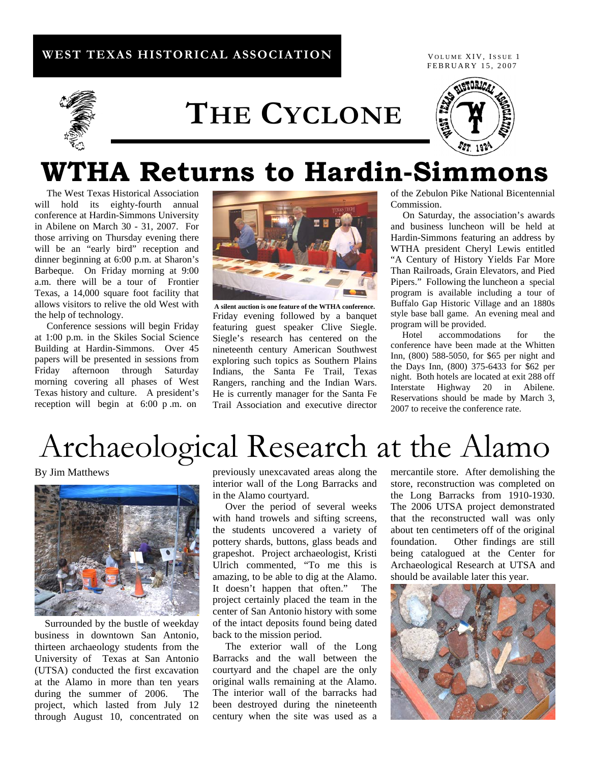## **WEST TEXAS HISTORICAL ASSOCIATION**

FEBRUARY 15, 2007 VOLUME XIV, ISSUE 1



# **THE CYCLONE**



# **WTHA Returns to Hardin-Simmons**

 The West Texas Historical Association will hold its eighty-fourth annual conference at Hardin-Simmons University in Abilene on March 30 - 31, 2007. For those arriving on Thursday evening there will be an "early bird" reception and dinner beginning at 6:00 p.m. at Sharon's Barbeque. On Friday morning at 9:00 a.m. there will be a tour of Frontier Texas, a 14,000 square foot facility that allows visitors to relive the old West with the help of technology.

 Conference sessions will begin Friday at 1:00 p.m. in the Skiles Social Science Building at Hardin-Simmons. Over 45 papers will be presented in sessions from Friday afternoon through Saturday morning covering all phases of West Texas history and culture. A president's reception will begin at 6:00 p .m. on



**A silent auction is one feature of the WTHA conference.**  Friday evening followed by a banquet featuring guest speaker Clive Siegle. Siegle's research has centered on the nineteenth century American Southwest exploring such topics as Southern Plains Indians, the Santa Fe Trail, Texas Rangers, ranching and the Indian Wars. He is currently manager for the Santa Fe Trail Association and executive director

of the Zebulon Pike National Bicentennial **Commission** 

 On Saturday, the association's awards and business luncheon will be held at Hardin-Simmons featuring an address by WTHA president Cheryl Lewis entitled "A Century of History Yields Far More Than Railroads, Grain Elevators, and Pied Pipers." Following the luncheon a special program is available including a tour of Buffalo Gap Historic Village and an 1880s style base ball game. An evening meal and program will be provided.

 Hotel accommodations for the conference have been made at the Whitten Inn, (800) 588-5050, for \$65 per night and the Days Inn, (800) 375-6433 for \$62 per night. Both hotels are located at exit 288 off Interstate Highway 20 in Abilene. Reservations should be made by March 3, 2007 to receive the conference rate.

# Archaeological Research at the Alamo

By Jim Matthews



Surrounded by the bustle of weekday business in downtown San Antonio, thirteen archaeology students from the University of Texas at San Antonio (UTSA) conducted the first excavation at the Alamo in more than ten years during the summer of 2006. The project, which lasted from July 12 through August 10, concentrated on previously unexcavated areas along the interior wall of the Long Barracks and in the Alamo courtyard.

 Over the period of several weeks with hand trowels and sifting screens, the students uncovered a variety of pottery shards, buttons, glass beads and grapeshot. Project archaeologist, Kristi Ulrich commented, "To me this is amazing, to be able to dig at the Alamo. It doesn't happen that often." The project certainly placed the team in the center of San Antonio history with some of the intact deposits found being dated back to the mission period.

 The exterior wall of the Long Barracks and the wall between the courtyard and the chapel are the only original walls remaining at the Alamo. The interior wall of the barracks had been destroyed during the nineteenth century when the site was used as a mercantile store. After demolishing the store, reconstruction was completed on the Long Barracks from 1910-1930. The 2006 UTSA project demonstrated that the reconstructed wall was only about ten centimeters off of the original foundation. Other findings are still being catalogued at the Center for Archaeological Research at UTSA and should be available later this year.

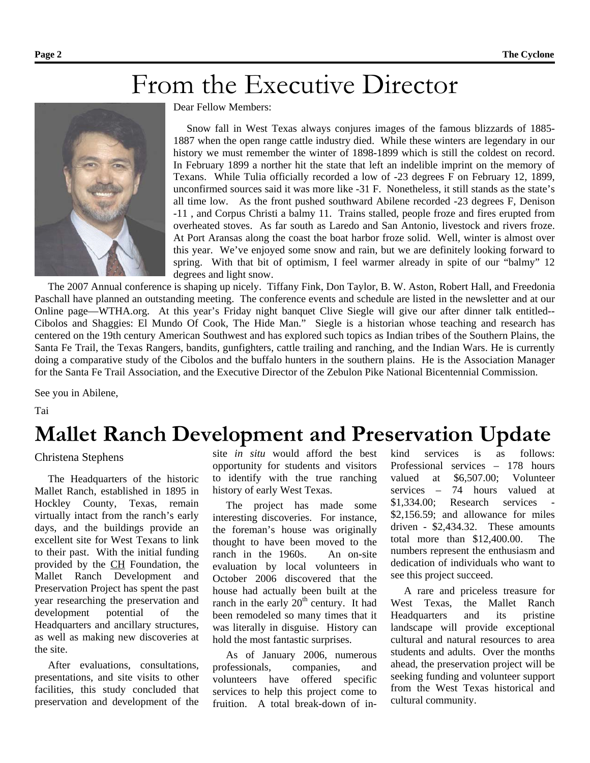## From the Executive Director



Dear Fellow Members:

Snow fall in West Texas always conjures images of the famous blizzards of 1885- 1887 when the open range cattle industry died. While these winters are legendary in our history we must remember the winter of 1898-1899 which is still the coldest on record. In February 1899 a norther hit the state that left an indelible imprint on the memory of Texans. While Tulia officially recorded a low of -23 degrees F on February 12, 1899, unconfirmed sources said it was more like -31 F. Nonetheless, it still stands as the state's all time low. As the front pushed southward Abilene recorded -23 degrees F, Denison -11 , and Corpus Christi a balmy 11. Trains stalled, people froze and fires erupted from overheated stoves. As far south as Laredo and San Antonio, livestock and rivers froze. At Port Aransas along the coast the boat harbor froze solid. Well, winter is almost over this year. We've enjoyed some snow and rain, but we are definitely looking forward to spring. With that bit of optimism, I feel warmer already in spite of our "balmy" 12 degrees and light snow.

 The 2007 Annual conference is shaping up nicely. Tiffany Fink, Don Taylor, B. W. Aston, Robert Hall, and Freedonia Paschall have planned an outstanding meeting. The conference events and schedule are listed in the newsletter and at our Online page—WTHA.org. At this year's Friday night banquet Clive Siegle will give our after dinner talk entitled-- Cibolos and Shaggies: El Mundo Of Cook, The Hide Man." Siegle is a historian whose teaching and research has centered on the 19th century American Southwest and has explored such topics as Indian tribes of the Southern Plains, the Santa Fe Trail, the Texas Rangers, bandits, gunfighters, cattle trailing and ranching, and the Indian Wars. He is currently doing a comparative study of the Cibolos and the buffalo hunters in the southern plains. He is the Association Manager for the Santa Fe Trail Association, and the Executive Director of the Zebulon Pike National Bicentennial Commission.

See you in Abilene,

Tai

## **Mallet Ranch Development and Preservation Update**

## Christena Stephens

 The Headquarters of the historic Mallet Ranch, established in 1895 in Hockley County, Texas, remain virtually intact from the ranch's early days, and the buildings provide an excellent site for West Texans to link to their past. With the initial funding provided by the CH Foundation, the Mallet Ranch Development and Preservation Project has spent the past year researching the preservation and development potential of the Headquarters and ancillary structures, as well as making new discoveries at the site.

 After evaluations, consultations, presentations, and site visits to other facilities, this study concluded that preservation and development of the site *in situ* would afford the best opportunity for students and visitors to identify with the true ranching history of early West Texas.

 The project has made some interesting discoveries. For instance, the foreman's house was originally thought to have been moved to the ranch in the 1960s. An on-site evaluation by local volunteers in October 2006 discovered that the house had actually been built at the ranch in the early  $20<sup>th</sup>$  century. It had been remodeled so many times that it was literally in disguise. History can hold the most fantastic surprises.

 As of January 2006, numerous professionals, companies, and volunteers have offered specific services to help this project come to fruition. A total break-down of inkind services is as follows: Professional services – 178 hours valued at \$6,507.00; Volunteer services – 74 hours valued at \$1,334.00; Research services - \$2,156.59; and allowance for miles driven - \$2,434.32. These amounts total more than \$12,400.00. The numbers represent the enthusiasm and dedication of individuals who want to see this project succeed.

 A rare and priceless treasure for West Texas, the Mallet Ranch Headquarters and its pristine landscape will provide exceptional cultural and natural resources to area students and adults. Over the months ahead, the preservation project will be seeking funding and volunteer support from the West Texas historical and cultural community.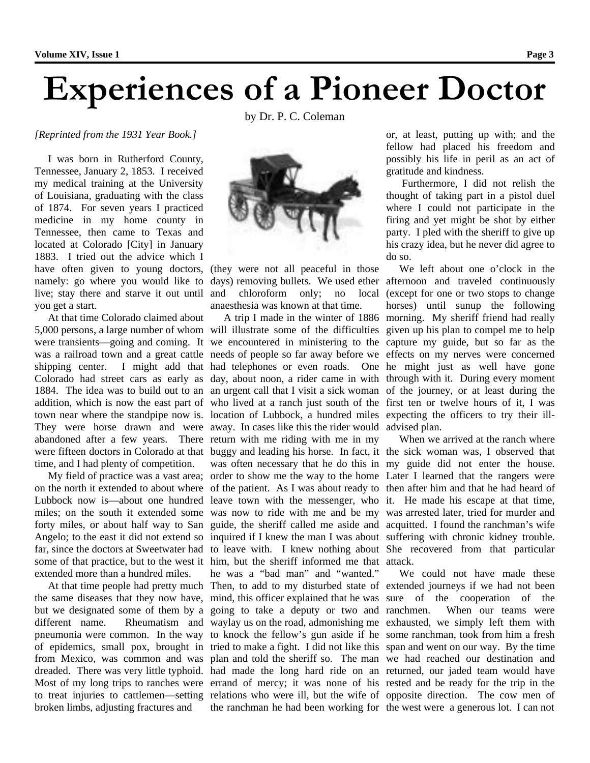# **Experiences of a Pioneer Doctor**

by Dr. P. C. Coleman

## *[Reprinted from the 1931 Year Book.]*

 I was born in Rutherford County, Tennessee, January 2, 1853. I received my medical training at the University of Louisiana, graduating with the class of 1874. For seven years I practiced medicine in my home county in Tennessee, then came to Texas and located at Colorado [City] in January 1883. I tried out the advice which I have often given to young doctors, (they were not all peaceful in those namely: go where you would like to live; stay there and starve it out until you get a start.

 At that time Colorado claimed about abandoned after a few years. There return with me riding with me in my time, and I had plenty of competition.

extended more than a hundred miles.

but we designated some of them by a going to take a deputy or two and broken limbs, adjusting fractures and



days) removing bullets. We used ether afternoon and traveled continuously and chloroform only; no local anaesthesia was known at that time.

5,000 persons, a large number of whom will illustrate some of the difficulties given up his plan to compel me to help were transients—going and coming. It we encountered in ministering to the capture my guide, but so far as the was a railroad town and a great cattle needs of people so far away before we effects on my nerves were concerned shipping center. I might add that had telephones or even roads. One he might just as well have gone Colorado had street cars as early as day, about noon, a rider came in with through with it. During every moment 1884. The idea was to build out to an an urgent call that I visit a sick woman of the journey, or at least during the addition, which is now the east part of who lived at a ranch just south of the first ten or twelve hours of it, I was town near where the standpipe now is. location of Lubbock, a hundred miles expecting the officers to try their ill-They were horse drawn and were away. In cases like this the rider would advised plan. were fifteen doctors in Colorado at that buggy and leading his horse. In fact, it the sick woman was, I observed that My field of practice was a vast area; order to show me the way to the home Later I learned that the rangers were on the north it extended to about where of the patient. As I was about ready to then after him and that he had heard of Lubbock now is—about one hundred leave town with the messenger, who it. He made his escape at that time, miles; on the south it extended some was now to ride with me and be my was arrested later, tried for murder and forty miles, or about half way to San guide, the sheriff called me aside and acquitted. I found the ranchman's wife Angelo; to the east it did not extend so inquired if I knew the man I was about suffering with chronic kidney trouble. far, since the doctors at Sweetwater had to leave with. I knew nothing about She recovered from that particular some of that practice, but to the west it him, but the sheriff informed me that attack. At that time people had pretty much Then, to add to my disturbed state of extended journeys if we had not been the same diseases that they now have, mind, this officer explained that he was sure of the cooperation of the different name. Rheumatism and waylay us on the road, admonishing me exhausted, we simply left them with pneumonia were common. In the way to knock the fellow's gun aside if he some ranchman, took from him a fresh of epidemics, small pox, brought in tried to make a fight. I did not like this span and went on our way. By the time from Mexico, was common and was plan and told the sheriff so. The man we had reached our destination and dreaded. There was very little typhoid. had made the long hard ride on an returned, our jaded team would have Most of my long trips to ranches were errand of mercy; it was none of his rested and be ready for the trip in the to treat injuries to cattlemen—setting relations who were ill, but the wife of opposite direction. The cow men of was often necessary that he do this in my guide did not enter the house. he was a "bad man" and "wanted." the ranchman he had been working for the west were a generous lot. I can not

or, at least, putting up with; and the fellow had placed his freedom and possibly his life in peril as an act of gratitude and kindness.

 Furthermore, I did not relish the thought of taking part in a pistol duel where I could not participate in the firing and yet might be shot by either party. I pled with the sheriff to give up his crazy idea, but he never did agree to do so.

A trip I made in the winter of 1886 morning. My sheriff friend had really We left about one o'clock in the (except for one or two stops to change horses) until sunup the following

When we arrived at the ranch where

 We could not have made these When our teams were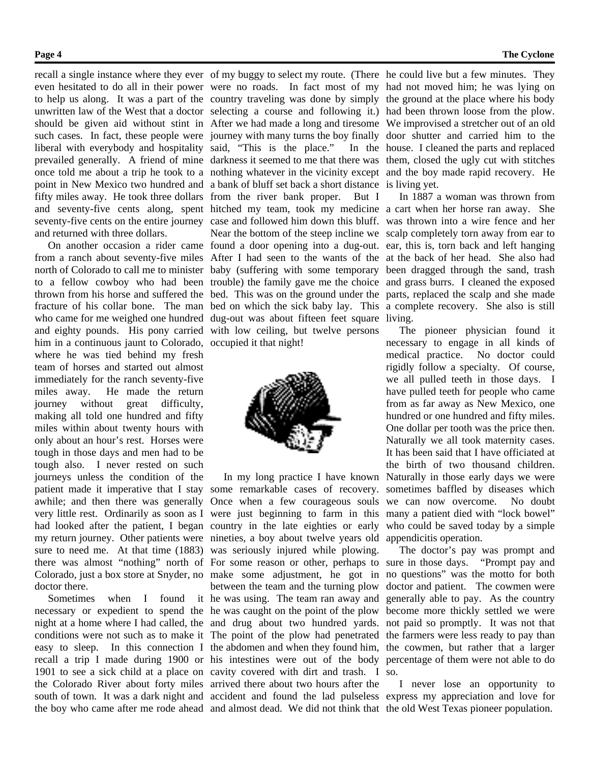recall a single instance where they ever of my buggy to select my route. (There he could live but a few minutes. They fifty miles away. He took three dollars from the river bank proper. But I

and returned with three dollars.

 On another occasion a rider came found a door opening into a dug-out. ear, this is, torn back and left hanging from a ranch about seventy-five miles After I had seen to the wants of the at the back of her head. She also had north of Colorado to call me to minister baby (suffering with some temporary been dragged through the sand, trash to a fellow cowboy who had been trouble) the family gave me the choice and grass burrs. I cleaned the exposed thrown from his horse and suffered the bed. This was on the ground under the parts, replaced the scalp and she made fracture of his collar bone. The man bed on which the sick baby lay. This a complete recovery. She also is still who came for me weighed one hundred dug-out was about fifteen feet square living. and eighty pounds. His pony carried with low ceiling, but twelve persons him in a continuous jaunt to Colorado, occupied it that night! where he was tied behind my fresh team of horses and started out almost immediately for the ranch seventy-five miles away. He made the return journey without great difficulty, making all told one hundred and fifty miles within about twenty hours with only about an hour's rest. Horses were tough in those days and men had to be tough also. I never rested on such journeys unless the condition of the patient made it imperative that I stay some remarkable cases of recovery. sometimes baffled by diseases which awhile; and then there was generally Once when a few courageous souls we can now overcome. No doubt very little rest. Ordinarily as soon as I were just beginning to farm in this many a patient died with "lock bowel" had looked after the patient, I began country in the late eighties or early my return journey. Other patients were nineties, a boy about twelve years old appendicitis operation. sure to need me. At that time (1883) was seriously injured while plowing. there was almost "nothing" north of For some reason or other, perhaps to sure in those days. "Prompt pay and Colorado, just a box store at Snyder, no make some adjustment, he got in no questions" was the motto for both doctor there.

even hesitated to do all in their power were no roads. In fact most of my had not moved him; he was lying on to help us along. It was a part of the country traveling was done by simply the ground at the place where his body unwritten law of the West that a doctor selecting a course and following it.) had been thrown loose from the plow. should be given aid without stint in After we had made a long and tiresome We improvised a stretcher out of an old such cases. In fact, these people were journey with many turns the boy finally door shutter and carried him to the liberal with everybody and hospitality said, "This is the place." In the house. I cleaned the parts and replaced prevailed generally. A friend of mine darkness it seemed to me that there was them, closed the ugly cut with stitches once told me about a trip he took to a nothing whatever in the vicinity except and the boy made rapid recovery. He point in New Mexico two hundred and a bank of bluff set back a short distance is living yet. and seventy-five cents along, spent hitched my team, took my medicine a cart when her horse ran away. She seventy-five cents on the entire journey case and followed him down this bluff. was thrown into a wire fence and her Near the bottom of the steep incline we scalp completely torn away from ear to



Sometimes when I found it he was using. The team ran away and generally able to pay. As the country necessary or expedient to spend the he was caught on the point of the plow become more thickly settled we were night at a home where I had called, the and drug about two hundred yards. not paid so promptly. It was not that conditions were not such as to make it The point of the plow had penetrated the farmers were less ready to pay than easy to sleep. In this connection I the abdomen and when they found him, the cowmen, but rather that a larger recall a trip I made during 1900 or his intestines were out of the body percentage of them were not able to do 1901 to see a sick child at a place on cavity covered with dirt and trash. I so. the Colorado River about forty miles arrived there about two hours after the between the team and the turning plow

In 1887 a woman was thrown from

In my long practice I have known Naturally in those early days we were The pioneer physician found it necessary to engage in all kinds of medical practice. No doctor could rigidly follow a specialty. Of course, we all pulled teeth in those days. I have pulled teeth for people who came from as far away as New Mexico, one hundred or one hundred and fifty miles. One dollar per tooth was the price then. Naturally we all took maternity cases. It has been said that I have officiated at the birth of two thousand children. who could be saved today by a simple

> The doctor's pay was prompt and doctor and patient. The cowmen were

south of town. It was a dark night and accident and found the lad pulseless express my appreciation and love for the boy who came after me rode ahead and almost dead. We did not think that the old West Texas pioneer population. I never lose an opportunity to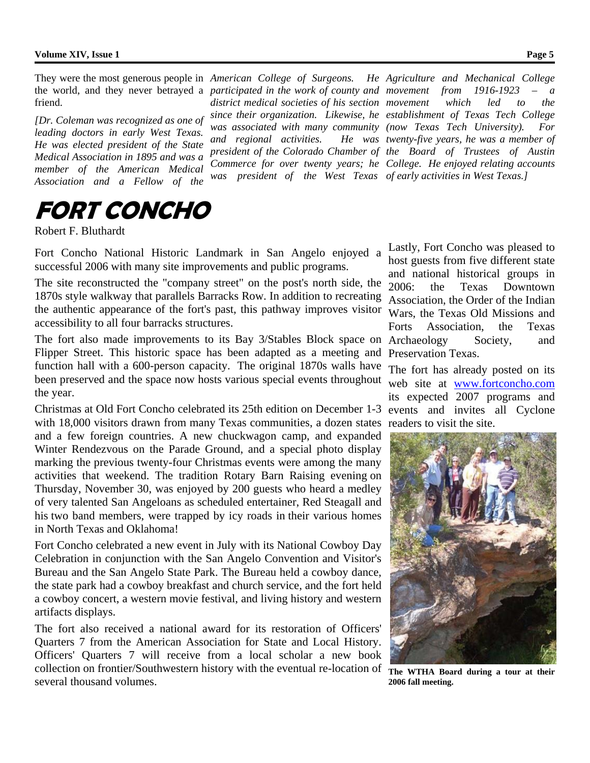friend.

*[Dr. Coleman was recognized as one of leading doctors in early West Texas. He was elected president of the State Medical Association in 1895 and was a member of the American Medical Association and a Fellow of the* 

**FORT CONCHO** 

Robert F. Bluthardt

Fort Concho National Historic Landmark in San Angelo enjoyed a successful 2006 with many site improvements and public programs.

 $and$  *regional activities.* 

The site reconstructed the "company street" on the post's north side, the 1870s style walkway that parallels Barracks Row. In addition to recreating the authentic appearance of the fort's past, this pathway improves visitor accessibility to all four barracks structures.

The fort also made improvements to its Bay 3/Stables Block space on Archaeology Society, and Flipper Street. This historic space has been adapted as a meeting and function hall with a 600-person capacity. The original 1870s walls have been preserved and the space now hosts various special events throughout the year.

Christmas at Old Fort Concho celebrated its 25th edition on December 1-3 events and invites all Cyclone with 18,000 visitors drawn from many Texas communities, a dozen states readers to visit the site. and a few foreign countries. A new chuckwagon camp, and expanded Winter Rendezvous on the Parade Ground, and a special photo display marking the previous twenty-four Christmas events were among the many activities that weekend. The tradition Rotary Barn Raising evening on Thursday, November 30, was enjoyed by 200 guests who heard a medley of very talented San Angeloans as scheduled entertainer, Red Steagall and his two band members, were trapped by icy roads in their various homes in North Texas and Oklahoma!

Fort Concho celebrated a new event in July with its National Cowboy Day Celebration in conjunction with the San Angelo Convention and Visitor's Bureau and the San Angelo State Park. The Bureau held a cowboy dance, the state park had a cowboy breakfast and church service, and the fort held a cowboy concert, a western movie festival, and living history and western artifacts displays.

The fort also received a national award for its restoration of Officers' Quarters 7 from the American Association for State and Local History. Officers' Quarters 7 will receive from a local scholar a new book collection on frontier/Southwestern history with the eventual re-location of several thousand volumes.

They were the most generous people in *American College of Surgeons. He Agriculture and Mechanical College*  the world, and they never betrayed a *participated in the work of county and movement from 1916-1923 – a district medical societies of his section movement which led to the since their organization. Likewise, he establishment of Texas Tech College was associated with many community (now Texas Tech University). For president of the Colorado Chamber of the Board of Trustees of Austin Commerce for over twenty years; he College. He enjoyed relating accounts was president of the West Texas of early activities in West Texas.] twenty-five years, he was a member of* 

> Lastly, Fort Concho was pleased to host guests from five different state and national historical groups in 2006: the Texas Downtown Association, the Order of the Indian Wars, the Texas Old Missions and Forts Association, the Texas Preservation Texas.

> The fort has already posted on its web site at www.fortconcho.com its expected 2007 programs and



**The WTHA Board during a tour at their 2006 fall meeting.**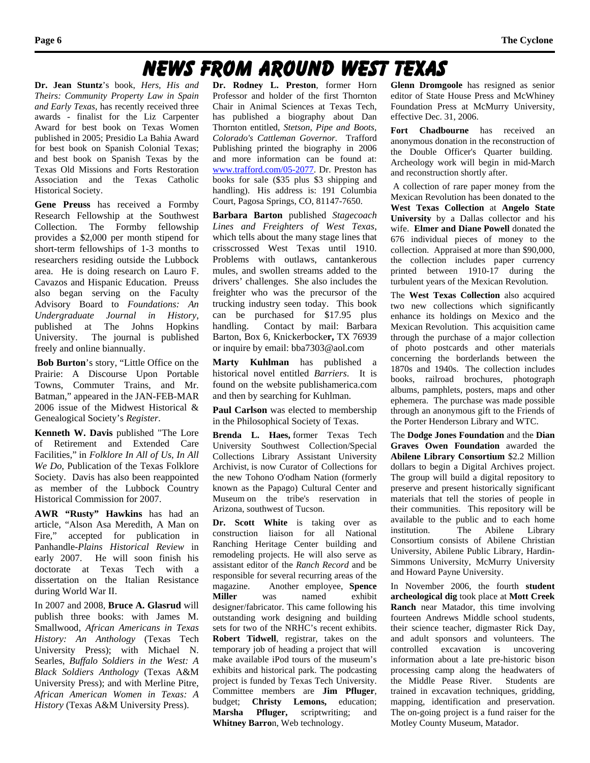## News From Around West Texas

**Dr. Jean Stuntz**'s book, *Hers, His and Theirs: Community Property Law in Spain and Early Texas*, has recently received three awards - finalist for the Liz Carpenter Award for best book on Texas Women published in 2005; Presidio La Bahia Award for best book on Spanish Colonial Texas; and best book on Spanish Texas by the Texas Old Missions and Forts Restoration Association and the Texas Catholic Historical Society.

**Gene Preuss** has received a Formby Research Fellowship at the Southwest Collection. The Formby fellowship provides a \$2,000 per month stipend for short-term fellowships of 1-3 months to researchers residing outside the Lubbock area. He is doing research on Lauro F. Cavazos and Hispanic Education. Preuss also began serving on the Faculty Advisory Board to *Foundations: An Undergraduate Journal in History*, published at The Johns Hopkins University. The journal is published freely and online biannually.

**Bob Burton**'s story, "Little Office on the Prairie: A Discourse Upon Portable Towns, Commuter Trains, and Mr. Batman," appeared in the JAN-FEB-MAR 2006 issue of the Midwest Historical & Genealogical Society's *Register*.

**Kenneth W. Davis** published "The Lore of Retirement and Extended Care Facilities," in *Folklore In All of Us, In All We Do*, Publication of the Texas Folklore Society. Davis has also been reappointed as member of the Lubbock Country Historical Commission for 2007.

**AWR "Rusty" Hawkins** has had an article, "Alson Asa Meredith, A Man on Fire," accepted for publication in Panhandle*-Plains Historical Review* in early 2007. He will soon finish his doctorate at Texas Tech with a dissertation on the Italian Resistance during World War II.

In 2007 and 2008, **Bruce A. Glasrud** will publish three books: with James M. Smallwood, *African Americans in Texas History: An Anthology* (Texas Tech University Press); with Michael N. Searles, *Buffalo Soldiers in the West: A Black Soldiers Anthology* (Texas A&M University Press); and with Merline Pitre, *African American Women in Texas: A History* (Texas A&M University Press).

**Dr. Rodney L. Preston**, former Horn Professor and holder of the first Thornton Chair in Animal Sciences at Texas Tech, has published a biography about Dan Thornton entitled, *Stetson, Pipe and Boots, Colorado's Cattleman Governor.* Trafford Publishing printed the biography in 2006 and more information can be found at: www.trafford.com/05-2077. Dr. Preston has books for sale (\$35 plus \$3 shipping and handling). His address is: 191 Columbia Court, Pagosa Springs, CO, 81147-7650.

**Barbara Barton** published *Stagecoach Lines and Freighters of West Texas*, which tells about the many stage lines that crisscrossed West Texas until 1910. Problems with outlaws, cantankerous mules, and swollen streams added to the drivers' challenges. She also includes the freighter who was the precursor of the trucking industry seen today. This book can be purchased for \$17.95 plus handling. Contact by mail: Barbara Barton, Box 6, Knickerbocke**r,** TX 76939 or inquire by email: bba7303@aol.com

**Marty Kuhlman** has published a historical novel entitled *Barriers*. It is found on the website publishamerica.com and then by searching for Kuhlman.

**Paul Carlson** was elected to membership in the Philosophical Society of Texas.

**Brenda L. Haes,** former Texas Tech University Southwest Collection/Special Collections Library Assistant University Archivist, is now Curator of Collections for the new Tohono O'odham Nation (formerly known as the Papago) Cultural Center and Museum on the tribe's reservation in Arizona, southwest of Tucson.

**Dr. Scott White** is taking over as construction liaison for all National Ranching Heritage Center building and remodeling projects. He will also serve as assistant editor of the *Ranch Record* and be responsible for several recurring areas of the magazine. Another employee, **Spence Miller** was named exhibit designer/fabricator. This came following his outstanding work designing and building sets for two of the NRHC's recent exhibits. **Robert Tidwell**, registrar, takes on the temporary job of heading a project that will make available iPod tours of the museum's exhibits and historical park. The podcasting project is funded by Texas Tech University. Committee members are **Jim Pfluger**, budget; **Christy Lemons,** education; **Marsha Pfluger,** scriptwriting; and **Whitney Barro**n, Web technology.

**Glenn Dromgoole** has resigned as senior editor of State House Press and McWhiney Foundation Press at McMurry University, effective Dec. 31, 2006.

**Fort Chadbourne** has received an anonymous donation in the reconstruction of the Double Officer's Quarter building. Archeology work will begin in mid-March and reconstruction shortly after.

A collection of rare paper money from the Mexican Revolution has been donated to the **West Texas Collection** at **Angelo State University** by a Dallas collector and his wife. **Elmer and Diane Powell** donated the 676 individual pieces of money to the collection. Appraised at more than \$90,000, the collection includes paper currency printed between 1910-17 during the turbulent years of the Mexican Revolution.

The **West Texas Collection** also acquired two new collections which significantly enhance its holdings on Mexico and the Mexican Revolution. This acquisition came through the purchase of a major collection of photo postcards and other materials concerning the borderlands between the 1870s and 1940s. The collection includes books, railroad brochures, photograph albums, pamphlets, posters, maps and other ephemera. The purchase was made possible through an anonymous gift to the Friends of the Porter Henderson Library and WTC.

The **Dodge Jones Foundation** and the **Dian Graves Owen Foundation** awarded the **Abilene Library Consortium** \$2.2 Million dollars to begin a Digital Archives project. The group will build a digital repository to preserve and present historically significant materials that tell the stories of people in their communities. This repository will be available to the public and to each home institution. The Abilene Library Consortium consists of Abilene Christian University, Abilene Public Library, Hardin-Simmons University, McMurry University and Howard Payne University.

In November 2006, the fourth **student archeological dig** took place at **Mott Creek Ranch** near Matador, this time involving fourteen Andrews Middle school students, their science teacher, digmaster Rick Day, and adult sponsors and volunteers. The controlled excavation is uncovering information about a late pre-historic bison processing camp along the headwaters of the Middle Pease River. Students are trained in excavation techniques, gridding, mapping, identification and preservation. The on-going project is a fund raiser for the Motley County Museum, Matador.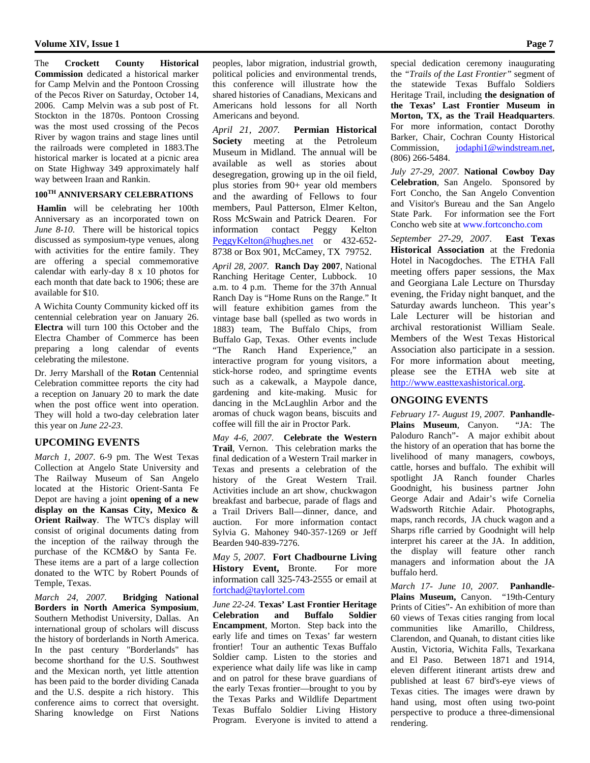The **Crockett County Historical Commission** dedicated a historical marker for Camp Melvin and the Pontoon Crossing of the Pecos River on Saturday, October 14, 2006. Camp Melvin was a sub post of Ft. Stockton in the 1870s. Pontoon Crossing was the most used crossing of the Pecos River by wagon trains and stage lines until the railroads were completed in 1883.The historical marker is located at a picnic area on State Highway 349 approximately half way between Iraan and Rankin.

## **100TH ANNIVERSARY CELEBRATIONS**

**Hamlin** will be celebrating her 100th Anniversary as an incorporated town on *June 8-10*. There will be historical topics discussed as symposium-type venues, along with activities for the entire family. They are offering a special commemorative calendar with early-day 8 x 10 photos for each month that date back to 1906; these are available for \$10.

A Wichita County Community kicked off its centennial celebration year on January 26. **Electra** will turn 100 this October and the Electra Chamber of Commerce has been preparing a long calendar of events celebrating the milestone.

Dr. Jerry Marshall of the **Rotan** Centennial Celebration committee reports the city had a reception on January 20 to mark the date when the post office went into operation. They will hold a two-day celebration later this year on *June 22-23*.

## **UPCOMING EVENTS**

*March 1, 2007*. 6-9 pm. The West Texas Collection at Angelo State University and The Railway Museum of San Angelo located at the Historic Orient-Santa Fe Depot are having a joint **opening of a new display on the Kansas City, Mexico & Orient Railway**. The WTC's display will consist of original documents dating from the inception of the railway through the purchase of the KCM&O by Santa Fe. These items are a part of a large collection donated to the WTC by Robert Pounds of Temple, Texas.

*March 24, 2007.* **Bridging National Borders in North America Symposium**, Southern Methodist University, Dallas. An international group of scholars will discuss the history of borderlands in North America. In the past century "Borderlands" has become shorthand for the U.S. Southwest and the Mexican north, yet little attention has been paid to the border dividing Canada and the U.S. despite a rich history. This conference aims to correct that oversight. Sharing knowledge on First Nations

peoples, labor migration, industrial growth, political policies and environmental trends, this conference will illustrate how the shared histories of Canadians, Mexicans and Americans hold lessons for all North Americans and beyond.

*April 21, 2007.* **Permian Historical Society** meeting at the Petroleum Museum in Midland. The annual will be available as well as stories about desegregation, growing up in the oil field, plus stories from 90+ year old members and the awarding of Fellows to four members, Paul Patterson, Elmer Kelton, Ross McSwain and Patrick Dearen. For information contact Peggy Kelton PeggyKelton@hughes.net or 432-652- 8738 or Box 901, McCamey, TX 79752.

*April 28, 2007.* **Ranch Day 2007**, National Ranching Heritage Center, Lubbock. 10 a.m. to 4 p.m. Theme for the 37th Annual Ranch Day is "Home Runs on the Range." It will feature exhibition games from the vintage base ball (spelled as two words in 1883) team, The Buffalo Chips, from Buffalo Gap, Texas. Other events include "The Ranch Hand Experience," an interactive program for young visitors, a stick-horse rodeo, and springtime events such as a cakewalk, a Maypole dance, gardening and kite-making. Music for dancing in the McLaughlin Arbor and the aromas of chuck wagon beans, biscuits and coffee will fill the air in Proctor Park.

*May 4-6, 2007.* **Celebrate the Western Trail**, Vernon. This celebration marks the final dedication of a Western Trail marker in Texas and presents a celebration of the history of the Great Western Trail. Activities include an art show, chuckwagon breakfast and barbecue, parade of flags and a Trail Drivers Ball—dinner, dance, and auction. For more information contact Sylvia G. Mahoney 940-357-1269 or Jeff Bearden 940-839-7276.

*May 5, 2007.* **Fort Chadbourne Living History Event,** Bronte. For more information call 325-743-2555 or email at fortchad@taylortel.com

*June 22-24.* **Texas' Last Frontier Heritage Celebration and Buffalo Soldier Encampment**, Morton. Step back into the early life and times on Texas' far western frontier! Tour an authentic Texas Buffalo Soldier camp. Listen to the stories and experience what daily life was like in camp and on patrol for these brave guardians of the early Texas frontier—brought to you by the Texas Parks and Wildlife Department Texas Buffalo Soldier Living History Program. Everyone is invited to attend a special dedication ceremony inaugurating the *"Trails of the Last Frontier"* segment of the statewide Texas Buffalo Soldiers Heritage Trail, including **the designation of the Texas' Last Frontier Museum in Morton, TX, as the Trail Headquarters**. For more information, contact Dorothy Barker, Chair, Cochran County Historical Commission, jodaphi1@windstream.net, (806) 266-5484.

*July 27-29, 2007.* **National Cowboy Day Celebration**, San Angelo. Sponsored by Fort Concho, the San Angelo Convention and Visitor's Bureau and the San Angelo State Park. For information see the Fort Concho web site at www.fortconcho.com

*September 27-29, 2007*. **East Texas Historical Association** at the Fredonia Hotel in Nacogdoches. The ETHA Fall meeting offers paper sessions, the Max and Georgiana Lale Lecture on Thursday evening, the Friday night banquet, and the Saturday awards luncheon. This year's Lale Lecturer will be historian and archival restorationist William Seale. Members of the West Texas Historical Association also participate in a session. For more information about meeting, please see the ETHA web site at http://www.easttexashistorical.org.

### **ONGOING EVENTS**

*February 17- August 19, 2007.* **Panhandle-Plains Museum**, Canyon. "JA: The Paloduro Ranch"- A major exhibit about the history of an operation that has borne the livelihood of many managers, cowboys, cattle, horses and buffalo. The exhibit will spotlight JA Ranch founder Charles Goodnight, his business partner John George Adair and Adair's wife Cornelia Wadsworth Ritchie Adair. Photographs, maps, ranch records, JA chuck wagon and a Sharps rifle carried by Goodnight will help interpret his career at the JA. In addition, the display will feature other ranch managers and information about the JA buffalo herd.

*March 17- June 10, 2007.* **Panhandle-**Plains Museum, Canyon. "19th-Century Prints of Cities"- An exhibition of more than 60 views of Texas cities ranging from local communities like Amarillo, Childress, Clarendon, and Quanah, to distant cities like Austin, Victoria, Wichita Falls, Texarkana and El Paso. Between 1871 and 1914, eleven different itinerant artists drew and published at least 67 bird's-eye views of Texas cities. The images were drawn by hand using, most often using two-point perspective to produce a three-dimensional rendering.